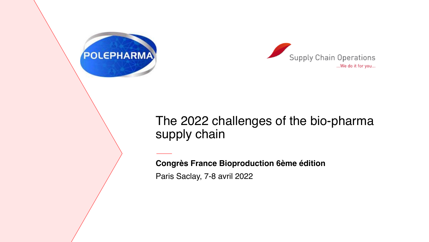



### The 2022 challenges of the bio-pharma supply chain

**Congrès France Bioproduction 6ème édition**

Paris Saclay, 7-8 avril 2022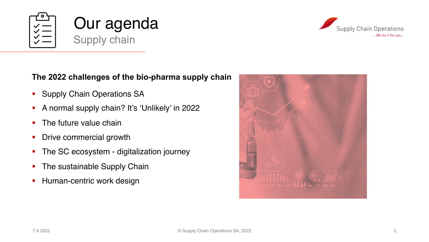





#### **The 2022 challenges of the bio-pharma supply chain**

- **Supply Chain Operations SA**
- § A normal supply chain? It's 'Unlikely' in 2022
- The future value chain
- Drive commercial growth
- The SC ecosystem digitalization journey
- The sustainable Supply Chain
- **Human-centric work design**

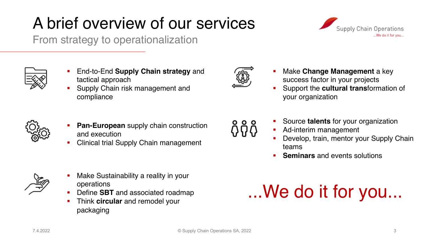# A brief overview of our services

From strategy to operationalization



- § Supply Chain risk management and compliance
- **Pan-European** supply chain construction and execution
- § Clinical trial Supply Chain management
- § Make Sustainability a reality in your operations
- § Define **SBT** and associated roadmap
- § Think **circular** and remodel your packaging

§ Make **Change Management** a key success factor in your projects

- § Support the **cultural trans**formation of your organization
- § Source **talents** for your organization
- Ad-interim management
- Develop, train, mentor your Supply Chain teams
- § **Seminars** and events solutions

# ...We do it for you...







៱៓កំ



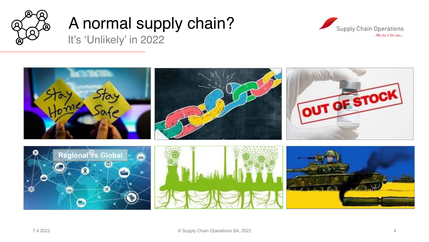

# A normal supply chain? It's 'Unlikely' in 2022



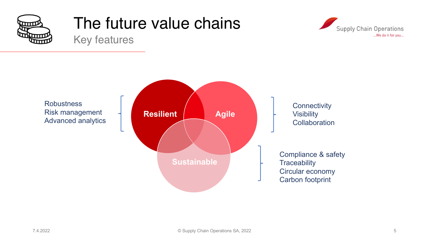

# The future value chains





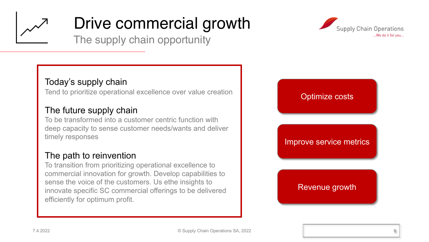

# Drive commercial growth

The supply chain opportunity

### Today's supply chain

Tend to prioritize operational excellence over value creation

### The future supply chain

To be transformed into a customer centric function with deep capacity to sense customer needs/wants and deliver timely responses

### The path to reinvention

To transition from prioritizing operational excellence to commercial innovation for growth. Develop capabilities to sense the voice of the customers. Us ethe insights to innovate specific SC commercial offerings to be delivered efficiently for optimum profit.



# Optimize costs Improve service metrics Revenue growth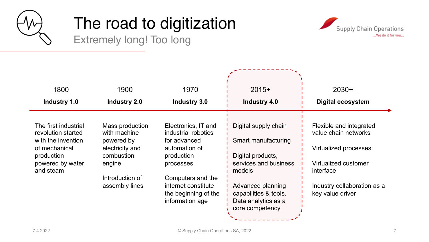

# The road to digitization





| 1800                                       | 1900                            | 1970                                       | $2015+$                                                         | $2030+$                                         |
|--------------------------------------------|---------------------------------|--------------------------------------------|-----------------------------------------------------------------|-------------------------------------------------|
| Industry 1.0                               | <b>Industry 2.0</b>             | <b>Industry 3.0</b>                        | <b>Industry 4.0</b>                                             | <b>Digital ecosystem</b>                        |
|                                            |                                 |                                            |                                                                 |                                                 |
| The first industrial<br>revolution started | Mass production<br>with machine | Electronics, IT and<br>industrial robotics | Digital supply chain                                            | Flexible and integrated<br>value chain networks |
| with the invention<br>of mechanical        | powered by<br>electricity and   | for advanced<br>automation of              | Smart manufacturing                                             | Virtualized processes                           |
| production                                 | combustion                      | production                                 | Digital products,                                               |                                                 |
| powered by water<br>and steam              | engine                          | processes                                  | services and business<br>models                                 | Virtualized customer<br>interface               |
|                                            | Introduction of                 | Computers and the                          |                                                                 |                                                 |
|                                            | assembly lines                  | internet constitute                        | Advanced planning                                               | Industry collaboration as a                     |
|                                            |                                 | the beginning of the<br>information age    | capabilities & tools.<br>Data analytics as a<br>core competency | key value driver                                |
|                                            |                                 |                                            |                                                                 |                                                 |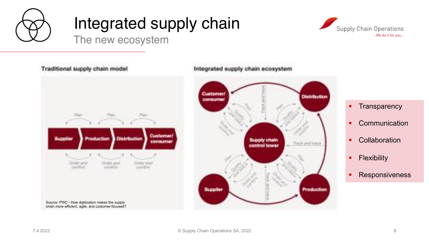

# Integrated supply chain



The new ecosystem

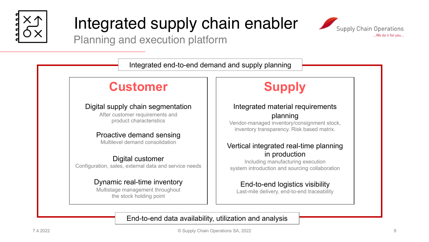

# Integrated supply chain enabler



Planning and execution platform

Integrated end-to-end demand and supply planning

### **Customer**

#### Digital supply chain segmentation

After customer requirements and product characteristics

#### Proactive demand sensing

Multilevel demand consolidation

#### Digital customer

Configuration, sales, external data and service needs

#### Dynamic real-time inventory

Multistage management throughout the stock holding point

### **Supply**

#### Integrated material requirements planning

Vendor-managed inventory/consignment stock, inventory transparency. Risk based matrix.

#### Vertical integrated real-time planning in production

Including manufacturing execution system introduction and sourcing collaboration

End-to-end logistics visibility Last-mile delivery, end-to-end traceability

#### End-to-end data availability, utilization and analysis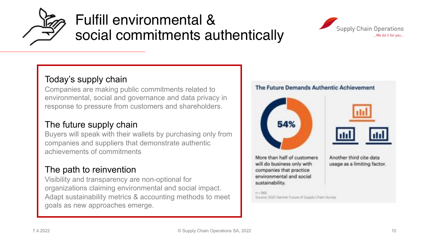

# Fulfill environmental & social commitments authentically



### Today's supply chain

Companies are making public commitments related to environmental, social and governance and data privacy in response to pressure from customers and shareholders.

### The future supply chain

Buyers will speak with their wallets by purchasing only from companies and suppliers that demonstrate authentic achievements of commitments

### The path to reinvention

Visibility and transparency are non-optional for organizations claiming environmental and social impact. Adapt sustainability metrics & accounting methods to meet goals as new approaches emerge.

#### The Future Demands Authentic Achievement





More than half of customers will do business only with companies that practice environmental and social sustainability.

Another third cite data usage as a limiting factor.

Source: 2021 Gartner Future of Supply Chain Survey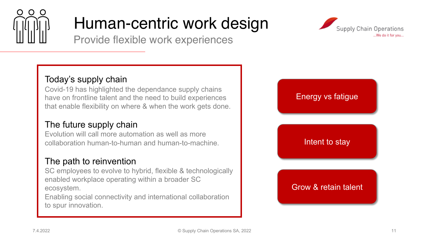

# Human-centric work design

Provide flexible work experiences



Covid-19 has highlighted the dependance supply chains have on frontline talent and the need to build experiences that enable flexibility on where & when the work gets done.

### The future supply chain

Evolution will call more automation as well as more collaboration human-to-human and human-to-machine.

### The path to reinvention

SC employees to evolve to hybrid, flexible & technologically enabled workplace operating within a broader SC ecosystem.

Enabling social connectivity and international collaboration to spur innovation.



#### Energy vs fatigue

#### Intent to stay

#### Grow & retain talent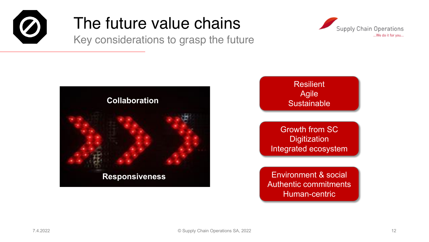

# The future value chains

Key considerations to grasp the future





### Resilient Agile **Sustainable**

Growth from SC **Digitization** Integrated ecosystem

Environment & social Authentic commitments Human-centric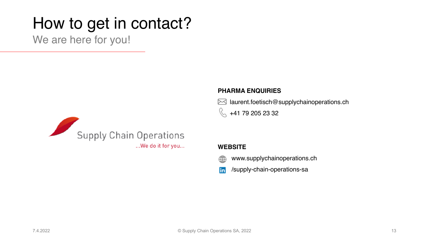# How to get in contact?

We are here for you!



#### **PHARMA ENQUIRIES**

 $\boxtimes$  laurent.foetisch@supplychainoperations.ch R +41 79 205 23 32

#### **WEBSITE**

- www.supplychainoperations.ch ∰
- /supply-chain-operations-sa lin